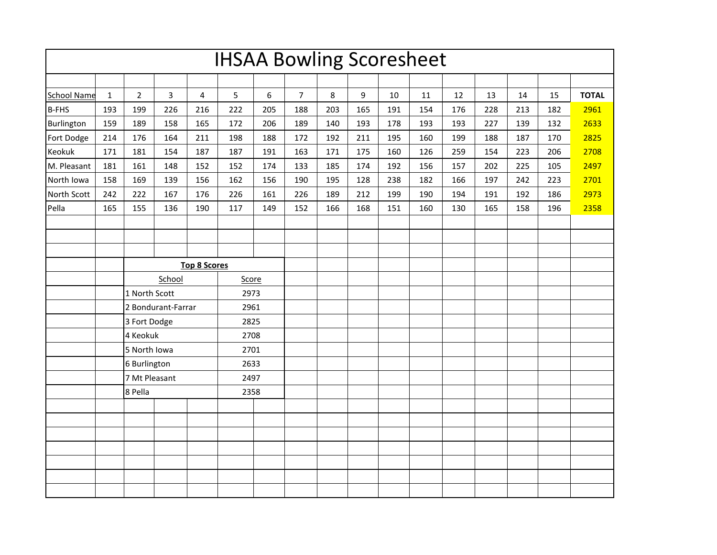| <b>IHSAA Bowling Scoresheet</b> |              |                                                                                                                                       |     |                     |                              |     |                |     |     |     |     |     |     |     |     |              |
|---------------------------------|--------------|---------------------------------------------------------------------------------------------------------------------------------------|-----|---------------------|------------------------------|-----|----------------|-----|-----|-----|-----|-----|-----|-----|-----|--------------|
|                                 |              |                                                                                                                                       |     |                     |                              |     |                |     |     |     |     |     |     |     |     |              |
| <b>School Name</b>              | $\mathbf{1}$ | $\overline{2}$                                                                                                                        | 3   | $\overline{4}$      | 5                            | 6   | $\overline{7}$ | 8   | 9   | 10  | 11  | 12  | 13  | 14  | 15  | <b>TOTAL</b> |
| <b>B-FHS</b>                    | 193          | 199                                                                                                                                   | 226 | 216                 | 222                          | 205 | 188            | 203 | 165 | 191 | 154 | 176 | 228 | 213 | 182 | 2961         |
| Burlington                      | 159          | 189                                                                                                                                   | 158 | 165                 | 172                          | 206 | 189            | 140 | 193 | 178 | 193 | 193 | 227 | 139 | 132 | 2633         |
| Fort Dodge                      | 214          | 176                                                                                                                                   | 164 | 211                 | 198                          | 188 | 172            | 192 | 211 | 195 | 160 | 199 | 188 | 187 | 170 | 2825         |
| Keokuk                          | 171          | 181                                                                                                                                   | 154 | 187                 | 187                          | 191 | 163            | 171 | 175 | 160 | 126 | 259 | 154 | 223 | 206 | 2708         |
| M. Pleasant                     | 181          | 161                                                                                                                                   | 148 | 152                 | 152                          | 174 | 133            | 185 | 174 | 192 | 156 | 157 | 202 | 225 | 105 | 2497         |
| North Iowa                      | 158          | 169                                                                                                                                   | 139 | 156                 | 162                          | 156 | 190            | 195 | 128 | 238 | 182 | 166 | 197 | 242 | 223 | 2701         |
| North Scott                     | 242          | 222                                                                                                                                   | 167 | 176                 | 226                          | 161 | 226            | 189 | 212 | 199 | 190 | 194 | 191 | 192 | 186 | 2973         |
| Pella                           | 165          | 155                                                                                                                                   | 136 | 190                 | 117                          | 149 | 152            | 166 | 168 | 151 | 160 | 130 | 165 | 158 | 196 | 2358         |
|                                 |              |                                                                                                                                       |     |                     |                              |     |                |     |     |     |     |     |     |     |     |              |
|                                 |              |                                                                                                                                       |     |                     |                              |     |                |     |     |     |     |     |     |     |     |              |
|                                 |              |                                                                                                                                       |     |                     |                              |     |                |     |     |     |     |     |     |     |     |              |
|                                 |              |                                                                                                                                       |     | <b>Top 8 Scores</b> |                              |     |                |     |     |     |     |     |     |     |     |              |
|                                 |              | School<br>1 North Scott<br>2 Bondurant-Farrar<br>3 Fort Dodge<br>4 Keokuk<br>5 North Iowa<br>6 Burlington<br>7 Mt Pleasant<br>8 Pella |     |                     | Score                        |     |                |     |     |     |     |     |     |     |     |              |
|                                 |              |                                                                                                                                       |     |                     | 2973                         |     |                |     |     |     |     |     |     |     |     |              |
|                                 |              |                                                                                                                                       |     |                     | 2961                         |     |                |     |     |     |     |     |     |     |     |              |
|                                 |              |                                                                                                                                       |     |                     | 2825                         |     |                |     |     |     |     |     |     |     |     |              |
|                                 |              |                                                                                                                                       |     |                     | 2708<br>2701<br>2633<br>2497 |     |                |     |     |     |     |     |     |     |     |              |
|                                 |              |                                                                                                                                       |     |                     |                              |     |                |     |     |     |     |     |     |     |     |              |
|                                 |              |                                                                                                                                       |     |                     |                              |     |                |     |     |     |     |     |     |     |     |              |
|                                 |              |                                                                                                                                       |     |                     |                              |     |                |     |     |     |     |     |     |     |     |              |
|                                 |              |                                                                                                                                       |     |                     | 2358                         |     |                |     |     |     |     |     |     |     |     |              |
|                                 |              |                                                                                                                                       |     |                     |                              |     |                |     |     |     |     |     |     |     |     |              |
|                                 |              |                                                                                                                                       |     |                     |                              |     |                |     |     |     |     |     |     |     |     |              |
|                                 |              |                                                                                                                                       |     |                     |                              |     |                |     |     |     |     |     |     |     |     |              |
|                                 |              |                                                                                                                                       |     |                     |                              |     |                |     |     |     |     |     |     |     |     |              |
|                                 |              |                                                                                                                                       |     |                     |                              |     |                |     |     |     |     |     |     |     |     |              |
|                                 |              |                                                                                                                                       |     |                     |                              |     |                |     |     |     |     |     |     |     |     |              |
|                                 |              |                                                                                                                                       |     |                     |                              |     |                |     |     |     |     |     |     |     |     |              |